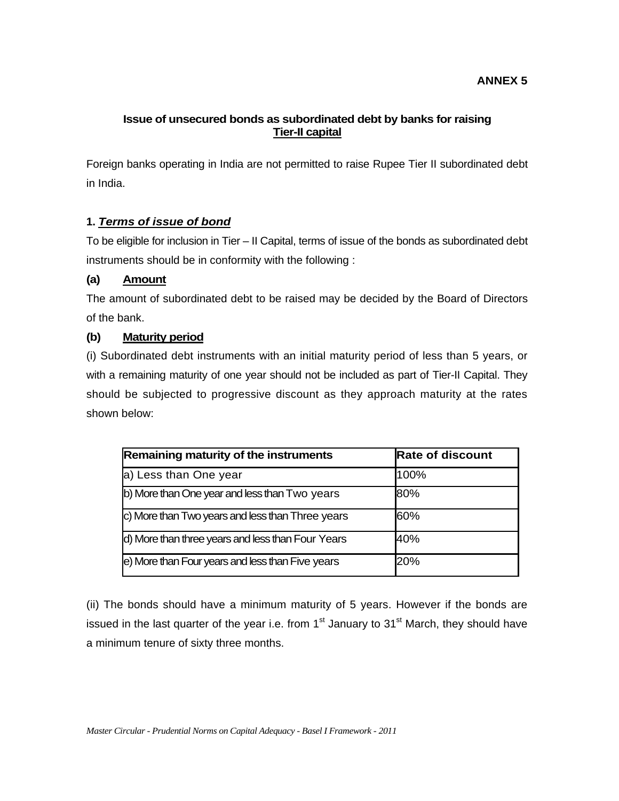### **Issue of unsecured bonds as subordinated debt by banks for raising Tier-II capital**

Foreign banks operating in India are not permitted to raise Rupee Tier II subordinated debt in India.

# **1.** *Terms of issue of bond*

To be eligible for inclusion in Tier – II Capital, terms of issue of the bonds as subordinated debt instruments should be in conformity with the following :

# **(a) Amount**

The amount of subordinated debt to be raised may be decided by the Board of Directors of the bank.

# **(b) Maturity period**

(i) Subordinated debt instruments with an initial maturity period of less than 5 years, or with a remaining maturity of one year should not be included as part of Tier-II Capital. They should be subjected to progressive discount as they approach maturity at the rates shown below:

| Remaining maturity of the instruments             | <b>Rate of discount</b> |
|---------------------------------------------------|-------------------------|
| a) Less than One year                             | 100%                    |
| b) More than One year and less than Two years     | 80%                     |
| c) More than Two years and less than Three years  | 60%                     |
| d) More than three years and less than Four Years | 40%                     |
| e) More than Four years and less than Five years  | 20%                     |

(ii) The bonds should have a minimum maturity of 5 years. However if the bonds are issued in the last quarter of the year i.e. from  $1<sup>st</sup>$  January to  $31<sup>st</sup>$  March, they should have a minimum tenure of sixty three months.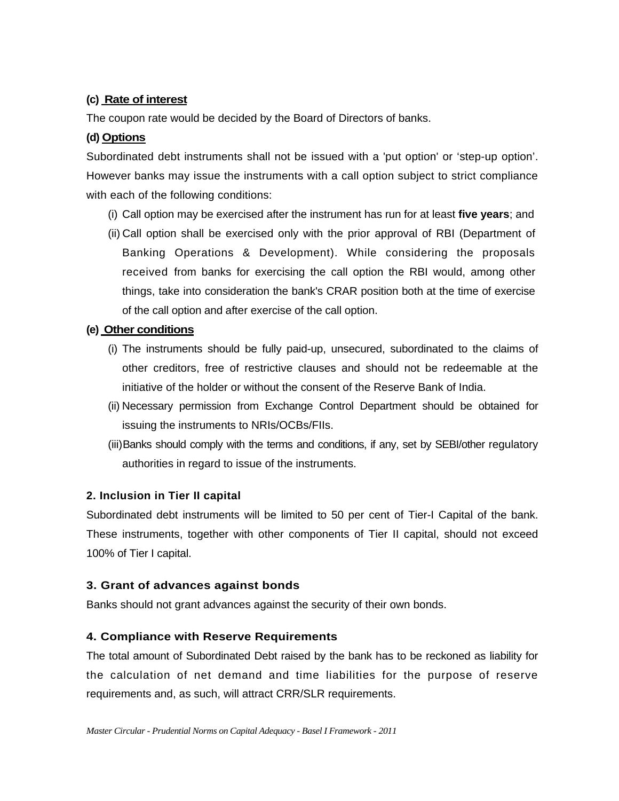### **(c) Rate of interest**

The coupon rate would be decided by the Board of Directors of banks.

# **(d) Options**

Subordinated debt instruments shall not be issued with a 'put option' or 'step-up option'. However banks may issue the instruments with a call option subject to strict compliance with each of the following conditions:

- (i) Call option may be exercised after the instrument has run for at least **five years**; and
- (ii) Call option shall be exercised only with the prior approval of RBI (Department of Banking Operations & Development). While considering the proposals received from banks for exercising the call option the RBI would, among other things, take into consideration the bank's CRAR position both at the time of exercise of the call option and after exercise of the call option.

### **(e) Other conditions**

- (i) The instruments should be fully paid-up, unsecured, subordinated to the claims of other creditors, free of restrictive clauses and should not be redeemable at the initiative of the holder or without the consent of the Reserve Bank of India.
- (ii) Necessary permission from Exchange Control Department should be obtained for issuing the instruments to NRIs/OCBs/FIIs.
- (iii) Banks should comply with the terms and conditions, if any, set by SEBI/other regulatory authorities in regard to issue of the instruments.

# **2. Inclusion in Tier II capital**

Subordinated debt instruments will be limited to 50 per cent of Tier-I Capital of the bank. These instruments, together with other components of Tier II capital, should not exceed 100% of Tier I capital.

# **3. Grant of advances against bonds**

Banks should not grant advances against the security of their own bonds.

# **4. Compliance with Reserve Requirements**

The total amount of Subordinated Debt raised by the bank has to be reckoned as liability for the calculation of net demand and time liabilities for the purpose of reserve requirements and, as such, will attract CRR/SLR requirements.